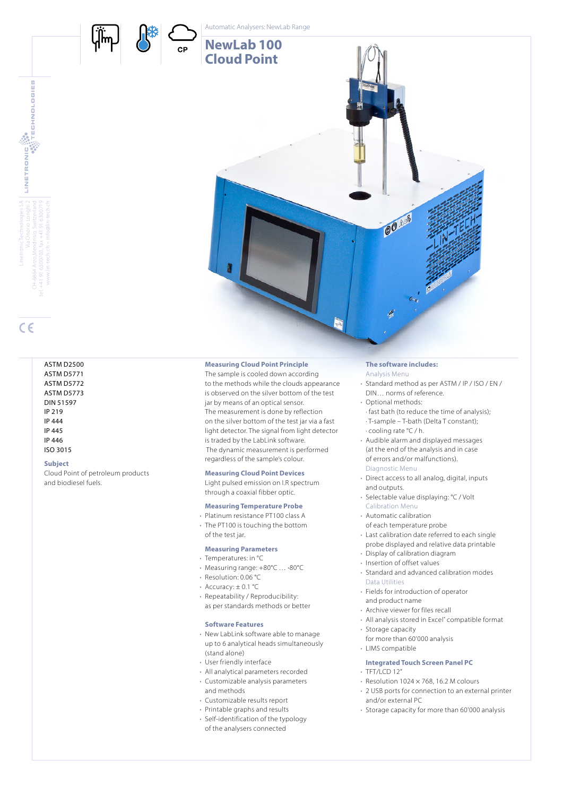

**CP** 



# www.lin-tech.ch – info@lin-tech.ch

 $C \in$ 

### ASTM D2500 ASTM D5771 ASTM D5772 ASTM D5773 DIN 51597 IP 219 IP 444 IP 445 IP 446 ISO 3015

### **Subject**

Cloud Point of petroleum products and biodiesel fuels.



# **Measuring Cloud Point Principle**

The sample is cooled down according to the methods while the clouds appearance is observed on the silver bottom of the test jar by means of an optical sensor. The measurement is done by reflection on the silver bottom of the test jar via a fast light detector. The signal from light detector is traded by the LabLink software. The dynamic measurement is performed regardless of the sample's colour.

# **Measuring Cloud Point Devices**

Light pulsed emission on I.R spectrum through a coaxial fibber optic.

# **Measuring Temperature Probe**

• Platinum resistance PT100 class A • The PT100 is touching the bottom of the test jar.

# **Measuring Parameters**

- Temperatures: in °C
- Measuring range: +80°C … •80°C
- Resolution: 0.06 °C
- Accuracy: ± 0.1 °C
- Repeatability / Reproducibility: as per standards methods or better

# **Software Features**

- New LabLink software able to manage up to 6 analytical heads simultaneously (stand alone)
- User friendly interface
- All analytical parameters recorded
- Customizable analysis parameters and methods
- Customizable results report
- Printable graphs and results
- Self-identification of the typology of the analysers connected

# **The software includes:**

- Analysis Menu • Standard method as per ASTM / IP / ISO / EN /
- DIN… norms of reference. • Optional methods: · fast bath (to reduce the time of analysis); · T-sample – T-bath (Delta T constant); · cooling rate °C / h.
- Audible alarm and displayed messages (at the end of the analysis and in case of errors and/or malfunctions). Diagnostic Menu
- Direct access to all analog, digital, inputs and outputs.
- Selectable value displaying: °C / Volt Calibration Menu
- Automatic calibration
- of each temperature probe
- Last calibration date referred to each single probe displayed and relative data printable
- Display of calibration diagram
- Insertion of offset values
- Standard and advanced calibration modes Data Utilities
- Fields for introduction of operator and product name
- Archive viewer for files recall
- All analysis stored in Excel" compatible format
- Storage capacity for more than 60'000 analysis
- LIMS compatible
- **Integrated Touch Screen Panel PC**
- $\cdot$  TFT/LCD 12"
- $\cdot$  Resolution 1024  $\times$  768, 16.2 M colours
- 2 USB ports for connection to an external printer and/or external PC
- Storage capacity for more than 60'000 analysis